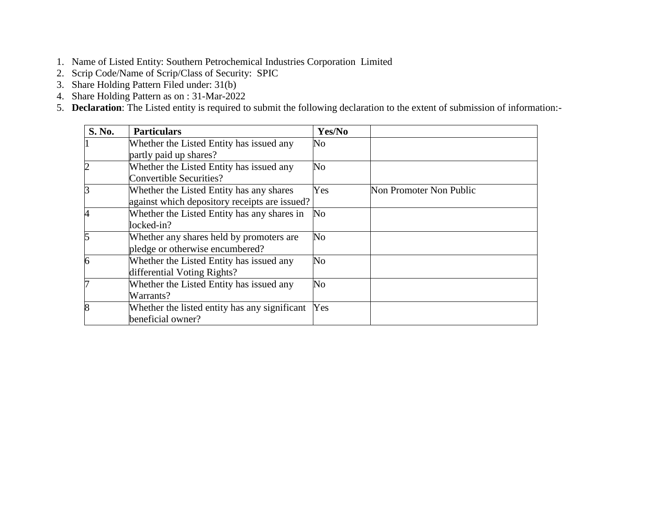- 1. Name of Listed Entity: Southern Petrochemical Industries Corporation Limited
- 2. Scrip Code/Name of Scrip/Class of Security: SPIC
- 3. Share Holding Pattern Filed under: 31(b)
- 4. Share Holding Pattern as on : 31-Mar-2022
- 5. **Declaration**: The Listed entity is required to submit the following declaration to the extent of submission of information:-

| S. No.         | <b>Particulars</b>                            | Yes/No                 |                         |
|----------------|-----------------------------------------------|------------------------|-------------------------|
|                | Whether the Listed Entity has issued any      | N <sub>o</sub>         |                         |
|                | partly paid up shares?                        |                        |                         |
| $\overline{c}$ | Whether the Listed Entity has issued any      | No                     |                         |
|                | Convertible Securities?                       |                        |                         |
| $\overline{3}$ | Whether the Listed Entity has any shares      | Yes                    | Non Promoter Non Public |
|                | against which depository receipts are issued? |                        |                         |
| 4              | Whether the Listed Entity has any shares in   | $\overline{\text{No}}$ |                         |
|                | locked-in?                                    |                        |                         |
| 5              | Whether any shares held by promoters are      | No                     |                         |
|                | pledge or otherwise encumbered?               |                        |                         |
| 6              | Whether the Listed Entity has issued any      | No                     |                         |
|                | differential Voting Rights?                   |                        |                         |
| 7              | Whether the Listed Entity has issued any      | No                     |                         |
|                | Warrants?                                     |                        |                         |
| 8              | Whether the listed entity has any significant | Yes                    |                         |
|                | beneficial owner?                             |                        |                         |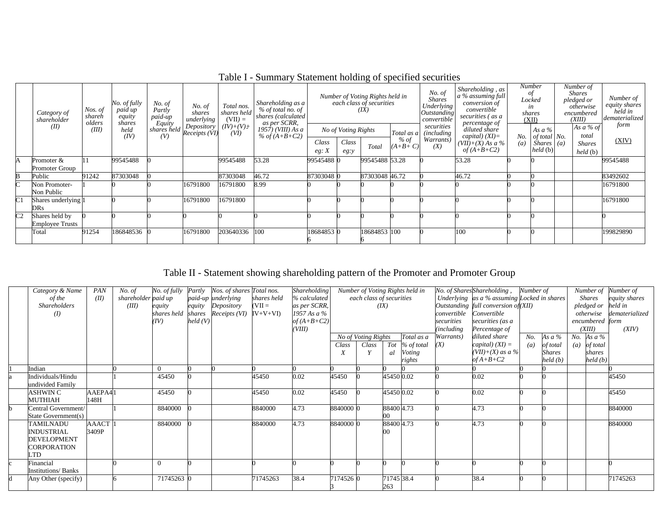| Category of<br>shareholder |                                          | No. of fully<br>paid up<br>Nos. of<br>equity<br>shareh<br>olders<br>shares |              | No. of<br>Partly<br>paid-up | No. of<br>shares<br>underlying                                      | Total nos.<br>shares held<br>$(VII) =$ | No. of<br>Number of Voting Rights held in<br><b>Shares</b><br>Shareholding as a<br>each class of securities<br>Underlying<br>% of total no. of<br>(IX)<br>Outstanding<br>shares (calculated<br>convertible<br>as per SCRR,<br>percentage of | Shareholding, as<br>$a$ % assuming full<br>conversion of<br>convertible<br>securities (as a |                                      | Number<br>οt<br>Locked<br>in<br>shares<br>(XII) | Number of<br><b>Shares</b><br>pledged or<br>otherwise<br>encumbered<br>(XIII) | Number of<br>equity shares<br>held in<br>dematerialized |                                                                          |            |                                                              |                                                |               |
|----------------------------|------------------------------------------|----------------------------------------------------------------------------|--------------|-----------------------------|---------------------------------------------------------------------|----------------------------------------|---------------------------------------------------------------------------------------------------------------------------------------------------------------------------------------------------------------------------------------------|---------------------------------------------------------------------------------------------|--------------------------------------|-------------------------------------------------|-------------------------------------------------------------------------------|---------------------------------------------------------|--------------------------------------------------------------------------|------------|--------------------------------------------------------------|------------------------------------------------|---------------|
|                            | (II)                                     | (III)                                                                      | held<br>(IV) | Equity<br>(V)               | Depository<br>$\frac{Equation(1, 1)}{1 - 1}$ shares held $Receipts$ | $(IV)+(V)+$<br>(VI)                    | $1957$ ) (VIII) As a<br>% of $(A+B+C2)$                                                                                                                                                                                                     | Class<br>eg: X                                                                              | No of Voting Rights<br>Class<br>eg:y | Total                                           | Total as a<br>% of<br>$(A+B+C)$                                               | securities<br><i>(including)</i><br>Warrants)<br>(X)    | diluted share<br>$capital) (XI)=$<br>$(VII)+(X)$ As a %<br>of $(A+B+C2)$ | No.<br>(a) | As $a\%$<br>of total No.<br>$Shares$ ( <i>a</i> )<br>held(b) | As a % of<br>total<br><b>Shares</b><br>held(b) | form<br>(XIV) |
| A                          | Promoter &<br>Promoter Group             |                                                                            | 99545488     |                             |                                                                     | 99545488                               | 53.28                                                                                                                                                                                                                                       | 99545488 0                                                                                  |                                      | 99545488 53.28                                  |                                                                               |                                                         | 53.28                                                                    |            |                                                              |                                                | 99545488      |
| В                          | Public                                   | 91242                                                                      | 87303048     |                             |                                                                     | 87303048                               | 46.72                                                                                                                                                                                                                                       | 87303048 0                                                                                  |                                      | 87303048 46.72                                  |                                                                               |                                                         | 46.72                                                                    |            |                                                              |                                                | 83492602      |
| ĸ.                         | Non Promoter-<br>Non Public              |                                                                            |              |                             | 16791800                                                            | 16791800                               | 8.99                                                                                                                                                                                                                                        |                                                                                             |                                      |                                                 |                                                                               |                                                         |                                                                          |            |                                                              |                                                | 16791800      |
| C <sub>1</sub>             | Shares underlying 1<br>DRs.              |                                                                            |              |                             | 16791800                                                            | 16791800                               |                                                                                                                                                                                                                                             |                                                                                             |                                      |                                                 |                                                                               |                                                         |                                                                          |            |                                                              |                                                | 16791800      |
| C <sub>2</sub>             | Shares held by<br><b>Employee Trusts</b> |                                                                            |              |                             |                                                                     |                                        |                                                                                                                                                                                                                                             |                                                                                             |                                      |                                                 |                                                                               |                                                         |                                                                          |            |                                                              |                                                |               |
|                            | Total                                    | 91254                                                                      | 186848536    |                             | 16791800                                                            | 203640336                              | 100                                                                                                                                                                                                                                         | 18684853 0                                                                                  |                                      | 18684853 100                                    |                                                                               |                                                         | 100                                                                      |            |                                                              |                                                | 199829890     |

Table I - Summary Statement holding of specified securities

Table II - Statement showing shareholding pattern of the Promoter and Promoter Group

| Category & Name<br>of the<br><b>Shareholders</b><br>(I)                          | PAN<br>(II)     | No. of<br>shareholder paid up<br>(III) | No. of fully<br>equity<br>(IV) | Partly<br>held(V) | Nos. of shares Total nos.<br>paid-up underlying<br>equity Depository<br>shares held shares Receipts (VI) IV+V+VI) | shares held<br>$(VII =$ | Shareholding<br>% calculated<br>as per SCRR,<br>1957 As a $%$<br>of $(A+B+C2)$ |           | each class of securities          | (IX)              | Number of Voting Rights held in    | convertible<br>securities      | No. of Shares Shareholding,<br>Underlying as a % assuming Locked in shares<br>Outstanding full conversion of (XII)<br>Convertible<br>securities (as a | Number of  |                                       | Number of<br><b>Shares</b><br>pledged or<br>otherwise<br>encumbered form | Number of<br>equity shares<br>held in<br>dematerialized |
|----------------------------------------------------------------------------------|-----------------|----------------------------------------|--------------------------------|-------------------|-------------------------------------------------------------------------------------------------------------------|-------------------------|--------------------------------------------------------------------------------|-----------|-----------------------------------|-------------------|------------------------------------|--------------------------------|-------------------------------------------------------------------------------------------------------------------------------------------------------|------------|---------------------------------------|--------------------------------------------------------------------------|---------------------------------------------------------|
|                                                                                  |                 |                                        |                                |                   |                                                                                                                   |                         | (VIII)                                                                         | Class     | No of Voting Rights<br>Class<br>Y | Tot<br>al         | Total as a<br>% of total<br>Voting | (including<br>Warrants)<br>(X) | Percentage of<br>diluted share<br>capital) $(XI) =$<br>$(VII)+(X)$ as a %                                                                             | No.<br>(a) | As a $%$<br>of total<br><b>Shares</b> | (XIII)<br>No. As $a\%$<br>$(a)$ of total<br>shares                       | (XIV)                                                   |
| Indian                                                                           |                 |                                        |                                |                   |                                                                                                                   |                         |                                                                                |           |                                   |                   | rights                             |                                | $of A+B+C2$                                                                                                                                           |            | held (b)                              | held (b)                                                                 |                                                         |
| Individuals/Hindu<br>undivided Family                                            |                 |                                        | 45450                          |                   |                                                                                                                   | 45450                   | 0.02                                                                           | 45450     |                                   | 45450 0.02        |                                    |                                | 0.02                                                                                                                                                  |            |                                       |                                                                          | 45450                                                   |
| ASHWIN C<br><b>MUTHIAH</b>                                                       | AAEPA41<br>148H |                                        | 45450                          |                   |                                                                                                                   | 45450                   | 0.02                                                                           | 45450     |                                   | 45450 0.02        |                                    |                                | 0.02                                                                                                                                                  |            |                                       |                                                                          | 45450                                                   |
| Central Government/<br>State Government(s)                                       |                 |                                        | 8840000                        |                   |                                                                                                                   | 8840000                 | 4.73                                                                           | 8840000 0 |                                   | 88400 4.73        |                                    |                                | 4.73                                                                                                                                                  |            |                                       |                                                                          | 8840000                                                 |
| <b>TAMILNADU</b><br><b>INDUSTRIAL</b><br><b>DEVELOPMENT</b><br>CORPORATION<br>TD | AAACT<br>3409P  |                                        | 8840000                        |                   |                                                                                                                   | 8840000                 | 4.73                                                                           | 8840000 0 |                                   | 88400 4.73        |                                    |                                | 4.73                                                                                                                                                  |            |                                       |                                                                          | 8840000                                                 |
| inancial<br><b>Institutions/Banks</b>                                            |                 |                                        |                                |                   |                                                                                                                   |                         |                                                                                |           |                                   |                   |                                    |                                |                                                                                                                                                       |            |                                       |                                                                          |                                                         |
| Any Other (specify)                                                              |                 |                                        | 71745263                       |                   |                                                                                                                   | 71745263                | 38.4                                                                           | 7174526 0 |                                   | 71745 38.4<br>263 |                                    |                                | 38.4                                                                                                                                                  |            |                                       |                                                                          | 71745263                                                |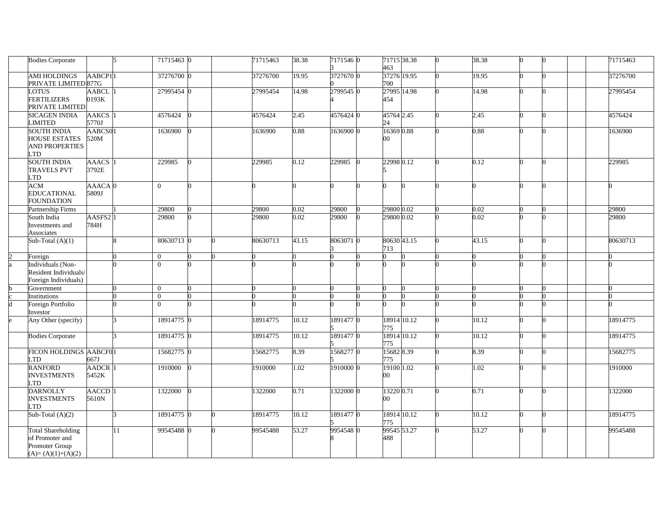| <b>Bodies Corporate</b>            |                             | 15              | 71715463 0     |  | 71715463 | 38.38 | 7171546 0 | 71715 38.38<br>463 |  | 38.38 |  | 71715463 |
|------------------------------------|-----------------------------|-----------------|----------------|--|----------|-------|-----------|--------------------|--|-------|--|----------|
| <b>AMI HOLDINGS</b>                | AABCP11                     |                 | 37276700 0     |  | 37276700 | 19.95 | 3727670 0 | 37276 19.95        |  | 19.95 |  | 37276700 |
| PRIVATE LIMITED 877G               |                             |                 |                |  |          |       |           | 700                |  |       |  |          |
| LOTUS                              | AABCL                       |                 | 27995454 0     |  | 27995454 | 14.98 | 2799545 0 | 27995 14.98        |  | 14.98 |  | 27995454 |
| <b>FERTILIZERS</b>                 | 0193K                       |                 |                |  |          |       |           | 454                |  |       |  |          |
| PRIVATE LIMITED                    |                             |                 |                |  |          |       |           |                    |  |       |  |          |
| <b>SICAGEN INDIA</b><br>LIMITED    | AAKCS <sub>1</sub><br>5770J |                 | 4576424        |  | 4576424  | 2.45  | 4576424 0 | 45764 2.45<br>24   |  | 2.45  |  | 4576424  |
| <b>SOUTH INDIA</b>                 | AABCS01                     |                 | 1636900        |  | 1636900  | 0.88  | 1636900 0 | 16369 0.88         |  | 0.88  |  | 1636900  |
| <b>HOUSE ESTATES</b>               | 520M                        |                 |                |  |          |       |           | $00\,$             |  |       |  |          |
| <b>AND PROPERTIES</b>              |                             |                 |                |  |          |       |           |                    |  |       |  |          |
| <b>LTD</b>                         |                             |                 |                |  |          |       |           |                    |  |       |  |          |
| <b>SOUTH INDIA</b>                 | AAACS <sup>1</sup>          |                 | 229985         |  | 229985   | 0.12  | 229985    | 22998 0.12         |  | 0.12  |  | 229985   |
| <b>TRAVELS PVT</b><br>LTD          | 3792E                       |                 |                |  |          |       |           |                    |  |       |  |          |
| <b>ACM</b>                         | AAACA <sub>0</sub>          |                 | $\overline{0}$ |  |          |       |           |                    |  |       |  |          |
| <b>EDUCATIONAL</b>                 | 5809J                       |                 |                |  |          |       |           |                    |  |       |  |          |
| <b>FOUNDATION</b>                  |                             |                 |                |  |          |       |           |                    |  |       |  |          |
| Partnership Firms                  |                             |                 | 29800          |  | 29800    | 0.02  | 29800     | 29800 0.02         |  | 0.02  |  | 29800    |
| South India                        | AASFS2 <sup>1</sup>         |                 | 29800          |  | 29800    | 0.02  | 29800     | 29800 0.02         |  | 0.02  |  | 29800    |
| Investments and<br>Associates      | 784H                        |                 |                |  |          |       |           |                    |  |       |  |          |
| Sub-Total $(A)(1)$                 |                             | $\mathbf{R}$    | 80630713 0     |  | 80630713 | 43.15 | 8063071 0 | 80630 43.15        |  | 43.15 |  | 80630713 |
|                                    |                             |                 |                |  |          |       |           | 713                |  |       |  |          |
| Foreign                            |                             |                 | $\overline{0}$ |  |          |       |           |                    |  |       |  |          |
| Individuals (Non-                  |                             |                 | $\theta$       |  |          |       |           |                    |  |       |  |          |
| Resident Individuals/              |                             |                 |                |  |          |       |           |                    |  |       |  |          |
| Foreign Individuals)<br>Government |                             |                 | $\theta$       |  |          |       |           |                    |  |       |  |          |
| Institutions                       |                             |                 | $\overline{0}$ |  |          |       |           |                    |  |       |  |          |
| Foreign Portfolio                  |                             |                 | $\overline{0}$ |  |          |       |           |                    |  |       |  |          |
| Investor                           |                             |                 |                |  |          |       |           |                    |  |       |  |          |
| Any Other (specify)                |                             |                 | 18914775 0     |  | 18914775 | 10.12 | 1891477 0 | 18914 10.12        |  | 10.12 |  | 18914775 |
|                                    |                             |                 |                |  |          |       |           | 775                |  |       |  |          |
| <b>Bodies Corporate</b>            |                             |                 | 18914775 0     |  | 18914775 | 10.12 | 18914770  | 18914 10.12<br>775 |  | 10.12 |  | 18914775 |
| FICON HOLDINGS AABCF01             |                             |                 | 15682775 0     |  | 15682775 | 8.39  | 15682770  | 15682 8.39         |  | 8.39  |  | 15682775 |
| <b>TD</b>                          | 667J                        |                 |                |  |          |       |           | 775                |  |       |  |          |
| <b>RANFORD</b>                     | AADCR <sup>1</sup>          |                 | 1910000        |  | 1910000  | 1.02  | 1910000 0 | 19100 1.02         |  | 1.02  |  | 1910000  |
| <b>INVESTMENTS</b>                 | 5452K                       |                 |                |  |          |       |           | $00\,$             |  |       |  |          |
| LTD<br><b>DARNOLLY</b>             | AACCD <sup>1</sup>          |                 | 1322000        |  | 1322000  | 0.71  | 1322000 0 | 13220 0.71         |  | 0.71  |  | 1322000  |
| <b>INVESTMENTS</b>                 | 5610N                       |                 |                |  |          |       |           | $00\,$             |  |       |  |          |
| <b>TD</b>                          |                             |                 |                |  |          |       |           |                    |  |       |  |          |
| Sub-Total $(A)(2)$                 |                             | l٩              | 18914775 0     |  | 18914775 | 10.12 | 18914770  | 18914 10.12        |  | 10.12 |  | 18914775 |
|                                    |                             |                 |                |  |          |       |           | 775                |  |       |  |          |
| <b>Total Shareholding</b>          |                             | $\overline{11}$ | 99545488 0     |  | 99545488 | 53.27 | 99545480  | 99545 53.27        |  | 53.27 |  | 99545488 |
| of Promoter and<br>Promoter Group  |                             |                 |                |  |          |       |           | 488                |  |       |  |          |
| $(A)=(A)(1)+(A)(2)$                |                             |                 |                |  |          |       |           |                    |  |       |  |          |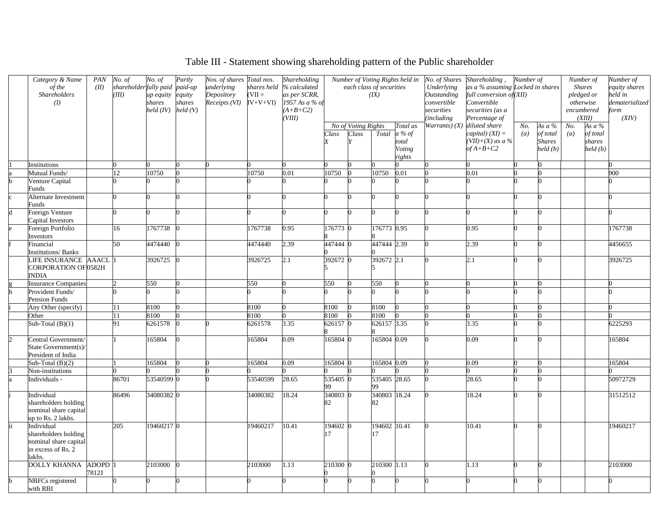# Table III - Statement showing shareholding pattern of the Public shareholder

| Category & Name             | PAN   | No. of                | No. of     | Partly  | Nos. of shares Total nos. |             | Shareholding     |          |                     |                          | Number of Voting Rights held in | No. of Shares      | Shareholding,                    | Number of         |          | Number of         |            | Number of      |
|-----------------------------|-------|-----------------------|------------|---------|---------------------------|-------------|------------------|----------|---------------------|--------------------------|---------------------------------|--------------------|----------------------------------|-------------------|----------|-------------------|------------|----------------|
| of the                      | (II)  | shareholderfully paid |            | paid-up | underlying                | shares held | % calculated     |          |                     | each class of securities |                                 | Underlying         | as a % assuming Locked in shares |                   |          | <b>Shares</b>     |            | equity shares  |
| Shareholders                |       | (III)                 | up equity  | equity  | Depository                | $=$ IIV)    | as per SCRR,     |          |                     | (X)                      |                                 | <b>Outstanding</b> | full conversion of (XII)         |                   |          |                   | pledged or | held in        |
| (I)                         |       |                       | shares     | shares  | $Receipts (VI)$ $IV+V+VI$ |             | $1957$ As a % of |          |                     |                          |                                 | convertible        | Convertible                      |                   |          | otherwise         |            | dematerialized |
|                             |       |                       | held (IV)  | held(V) |                           |             | $(A+B+C2)$       |          |                     |                          |                                 | securities         | securities (as a                 |                   |          | encumbered        |            | form           |
|                             |       |                       |            |         |                           |             | (VIII)           |          |                     |                          |                                 | <i>including</i>   | Percentage of                    |                   |          |                   | (XIII)     | (XIV)          |
|                             |       |                       |            |         |                           |             |                  |          | No of Voting Rights |                          | Total as                        |                    | Warrants) (X) diluted share      | No.               | As a $%$ | No.               | As $a\%$   |                |
|                             |       |                       |            |         |                           |             |                  | Class    | Class               |                          | Total a % of                    |                    | capital) $(XI) =$                | $\left( a\right)$ | of total | $\left( a\right)$ | of total   |                |
|                             |       |                       |            |         |                           |             |                  |          |                     |                          | total                           |                    | $(VII)+(X)$ as a %               |                   | Shares   |                   | shares     |                |
|                             |       |                       |            |         |                           |             |                  |          |                     |                          | Voting                          |                    | $of A+B+C2$                      |                   | held (b) |                   | held(b)    |                |
|                             |       |                       |            |         |                           |             |                  |          |                     |                          | rights                          |                    |                                  |                   |          |                   |            |                |
| nstitutions                 |       |                       |            |         |                           |             |                  |          |                     |                          |                                 |                    |                                  |                   |          |                   |            |                |
| Mutual Funds/               |       | 12                    | 10750      |         |                           | 10750       | 0.01             | 10750    |                     | 10750                    | 0.01                            |                    | 0.01                             |                   |          |                   |            | 900            |
| Venture Capital             |       |                       |            |         |                           |             |                  |          |                     |                          |                                 |                    |                                  |                   |          |                   |            |                |
| unds <sup>.</sup>           |       |                       |            |         |                           |             |                  |          |                     |                          |                                 |                    |                                  |                   |          |                   |            |                |
| Alternate Investment        |       |                       |            |         |                           |             |                  |          |                     |                          |                                 |                    |                                  |                   |          |                   |            |                |
| unds                        |       |                       |            |         |                           |             |                  |          |                     |                          |                                 |                    |                                  |                   |          |                   |            |                |
| Foreign Venture             |       |                       |            |         |                           |             |                  |          |                     |                          |                                 |                    |                                  |                   |          |                   |            |                |
| Capital Investors           |       |                       |            |         |                           |             |                  |          |                     |                          |                                 |                    |                                  |                   |          |                   |            |                |
| Foreign Portfolio           |       | 16                    | 1767738    |         |                           | 1767738     | 0.95             | 176773 0 |                     | 176773 0.95              |                                 |                    | 0.95                             |                   |          |                   |            | 1767738        |
| Investors                   |       |                       |            |         |                           |             |                  |          |                     |                          |                                 |                    |                                  |                   |          |                   |            |                |
| inancial                    |       | 50                    | 4474440    |         |                           | 4474440     | 2.39             | 447444 0 |                     | 447444 2.39              |                                 |                    | 2.39                             |                   |          |                   |            | 4456655        |
| Institutions/Banks          |       |                       |            |         |                           |             |                  |          |                     |                          |                                 |                    |                                  |                   |          |                   |            |                |
| <b>LIFE INSURANCE AAACL</b> |       |                       | 3926725    |         |                           | 3926725     | 2.1              | 392672 0 |                     | 392672 2.1               |                                 |                    | 2.1                              |                   |          |                   |            | 3926725        |
| CORPORATION OF 0582H        |       |                       |            |         |                           |             |                  |          |                     |                          |                                 |                    |                                  |                   |          |                   |            |                |
| NDIA                        |       |                       |            |         |                           |             |                  |          |                     |                          |                                 |                    |                                  |                   |          |                   |            |                |
| <b>Insurance Companies</b>  |       |                       | 550        |         |                           | 550         |                  | 550      |                     | 550                      |                                 |                    |                                  |                   |          |                   |            |                |
| Provident Funds/            |       |                       |            |         |                           |             |                  |          |                     |                          |                                 |                    |                                  |                   |          |                   |            |                |
| Pension Funds               |       |                       |            |         |                           |             |                  |          |                     |                          |                                 |                    |                                  |                   |          |                   |            |                |
| Any Other (specify)         |       |                       | 8100       |         |                           | 8100        |                  | 8100     |                     | 8100                     |                                 |                    |                                  |                   |          |                   |            |                |
|                             |       |                       | 8100       |         |                           | 8100        |                  |          |                     |                          |                                 |                    |                                  |                   |          |                   |            |                |
| Other                       |       |                       |            |         |                           |             |                  | 8100     |                     | 8100                     |                                 |                    |                                  |                   |          |                   |            |                |
| $Sub-Total(B)(1)$           |       | 91                    | 5261578    |         |                           | 6261578     | 3.35             | 626157 0 |                     | 626157 3.35              |                                 |                    | 3.35                             |                   |          |                   |            | 6225293        |
|                             |       |                       |            |         |                           |             |                  |          |                     |                          |                                 |                    |                                  |                   |          |                   |            |                |
| Central Government          |       |                       | 165804     |         |                           | 165804      | 0.09             | 165804 0 |                     | 165804 0.09              |                                 |                    | 0.09                             |                   |          |                   |            | 165804         |
| State Government(s)         |       |                       |            |         |                           |             |                  |          |                     |                          |                                 |                    |                                  |                   |          |                   |            |                |
| President of India          |       |                       |            |         |                           |             |                  |          |                     |                          |                                 |                    |                                  |                   |          |                   |            |                |
| Sub-Total $(B)(2)$          |       |                       | 165804     |         |                           | 165804      | 0.09             | 165804 0 |                     | 165804 0.09              |                                 |                    | 0.09                             |                   |          |                   |            | 165804         |
| Non-institutions            |       |                       |            |         |                           |             |                  |          |                     |                          |                                 |                    |                                  |                   |          |                   |            |                |
| Individuals -               |       | 86701                 | 53540599 0 |         |                           | 53540599    | 28.65            | 535405 0 |                     | 535405 28.65             |                                 |                    | 28.65                            |                   |          |                   |            | 50972729       |
|                             |       |                       |            |         |                           |             |                  | 99       |                     | 99                       |                                 |                    |                                  |                   |          |                   |            |                |
| Individual                  |       | 86496                 | 340803820  |         |                           | 34080382    | 18.24            | 340803 0 |                     | 340803 18.24             |                                 |                    | 18.24                            |                   |          |                   |            | 31512512       |
| shareholders holding        |       |                       |            |         |                           |             |                  | 82       |                     | 82                       |                                 |                    |                                  |                   |          |                   |            |                |
| nominal share capital       |       |                       |            |         |                           |             |                  |          |                     |                          |                                 |                    |                                  |                   |          |                   |            |                |
| up to Rs. 2 lakhs.          |       |                       |            |         |                           |             |                  |          |                     |                          |                                 |                    |                                  |                   |          |                   |            |                |
| Individual                  |       | 205                   | 19460217 0 |         |                           | 19460217    | 10.41            | 194602 0 |                     | 194602 10.41             |                                 |                    | 10.41                            |                   |          |                   |            | 19460217       |
| shareholders holding        |       |                       |            |         |                           |             |                  |          |                     | 17                       |                                 |                    |                                  |                   |          |                   |            |                |
| nominal share capital       |       |                       |            |         |                           |             |                  |          |                     |                          |                                 |                    |                                  |                   |          |                   |            |                |
| in excess of Rs. 2          |       |                       |            |         |                           |             |                  |          |                     |                          |                                 |                    |                                  |                   |          |                   |            |                |
| lakhs.                      |       |                       |            |         |                           |             |                  |          |                     |                          |                                 |                    |                                  |                   |          |                   |            |                |
| DOLLY KHANNA                | ADOPD |                       | 2103000 0  |         |                           | 2103000     | 1.13             | 210300 0 |                     | 210300 1.13              |                                 |                    | 1.13                             |                   | 0        |                   |            | 2103000        |
|                             | 7812J |                       |            |         |                           |             |                  |          |                     |                          |                                 |                    |                                  |                   |          |                   |            |                |
| <b>NBFCs</b> registered     |       |                       |            |         |                           |             |                  |          |                     |                          |                                 |                    |                                  |                   |          |                   |            |                |
| with RBI                    |       |                       |            |         |                           |             |                  |          |                     |                          |                                 |                    |                                  |                   |          |                   |            |                |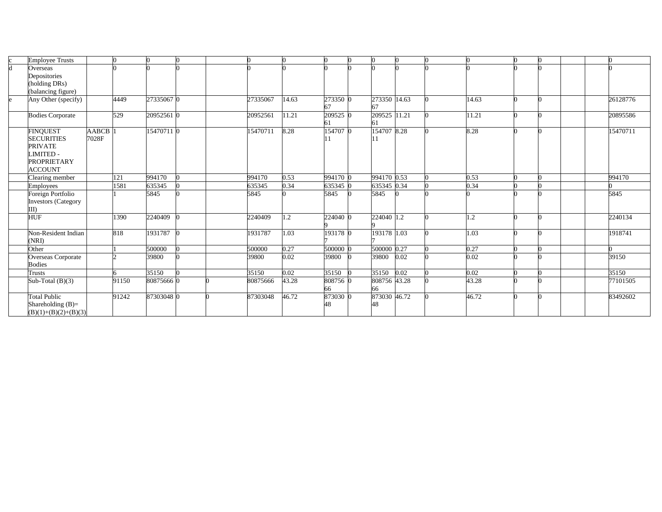|   | <b>Employee Trusts</b>  |              |       |            |  |          |       |                |   |                    |       |            |  |  |          |
|---|-------------------------|--------------|-------|------------|--|----------|-------|----------------|---|--------------------|-------|------------|--|--|----------|
| h | Overseas                |              |       |            |  |          |       |                |   |                    |       |            |  |  |          |
|   | Depositories            |              |       |            |  |          |       |                |   |                    |       |            |  |  |          |
|   | (holding DRs)           |              |       |            |  |          |       |                |   |                    |       |            |  |  |          |
|   | (balancing figure)      |              |       |            |  |          |       |                |   |                    |       |            |  |  |          |
| e | Any Other (specify)     |              | 4449  | 27335067 0 |  | 27335067 | 14.63 | 273350 0<br>67 |   | 273350 14.63<br>67 |       | 14.63      |  |  | 26128776 |
|   | <b>Bodies Corporate</b> |              | 529   | 20952561 0 |  | 20952561 | 11.21 | 209525 0<br>61 |   | 209525             | 11.21 | 1.21       |  |  | 20895586 |
|   | <b>FINQUEST</b>         | <b>AABCB</b> |       | 15470711 0 |  | 15470711 | 8.28  | 154707 0       |   | 154707 8.28        |       | 8.28       |  |  | 15470711 |
|   | <b>SECURITIES</b>       | 7028F        |       |            |  |          |       |                |   |                    |       |            |  |  |          |
|   | <b>PRIVATE</b>          |              |       |            |  |          |       |                |   |                    |       |            |  |  |          |
|   | <b>IMITED-</b>          |              |       |            |  |          |       |                |   |                    |       |            |  |  |          |
|   | <b>PROPRIETARY</b>      |              |       |            |  |          |       |                |   |                    |       |            |  |  |          |
|   | <b>ACCOUNT</b>          |              |       |            |  |          |       |                |   |                    |       |            |  |  |          |
|   | Clearing member         |              | 121   | 994170     |  | 994170   | 0.53  | 994170 0       |   | 994170 0.53        |       | 0.53       |  |  | 994170   |
|   | Employees               |              | 1581  | 635345     |  | 635345   | 0.34  | 635345 0       |   | 635345 0.34        |       | 0.34       |  |  |          |
|   | Foreign Portfolio       |              |       | 5845       |  | 5845     |       | 5845           | 0 | 5845               |       |            |  |  | 5845     |
|   | Investors (Category     |              |       |            |  |          |       |                |   |                    |       |            |  |  |          |
|   | $\rm III)$              |              |       |            |  |          |       |                |   |                    |       |            |  |  |          |
|   | HUF                     |              | 1390  | 2240409    |  | 2240409  | 1.2   | 224040 0       |   | 224040 1.2         |       | $\cdot$ .2 |  |  | 2240134  |
|   | Non-Resident Indian     |              | 818   | 1931787    |  | 1931787  | 1.03  | 193178 0       |   | 193178 1.03        |       | 1.03       |  |  | 1918741  |
|   | (NRI)                   |              |       |            |  |          |       |                |   |                    |       |            |  |  |          |
|   | Other                   |              |       | 500000     |  | 500000   | 0.27  | 500000 0       |   | 500000 0.27        |       | 0.27       |  |  |          |
|   | Overseas Corporate      |              |       | 39800      |  | 39800    | 0.02  | 39800          |   | 39800              | 0.02  | 0.02       |  |  | 39150    |
|   | <b>Bodies</b>           |              |       |            |  |          |       |                |   |                    |       |            |  |  |          |
|   | Trusts                  |              |       | 35150      |  | 35150    | 0.02  | 35150          |   | 35150              | 0.02  | 0.02       |  |  | 35150    |
|   | Sub-Total $(B)(3)$      |              | 91150 | 80875666 0 |  | 80875666 | 43.28 | 808756 0       |   | 808756 43.28       |       | 43.28      |  |  | 77101505 |
|   |                         |              |       |            |  |          |       | 66             |   | 66                 |       |            |  |  |          |
|   | <b>Total Public</b>     |              | 91242 | 87303048 0 |  | 87303048 | 46.72 | 873030 0       |   | 873030 46.72       |       | 46.72      |  |  | 83492602 |
|   | Shareholding $(B)=$     |              |       |            |  |          |       | 48             |   | 48                 |       |            |  |  |          |
|   | $(B)(1)+(B)(2)+(B)(3)$  |              |       |            |  |          |       |                |   |                    |       |            |  |  |          |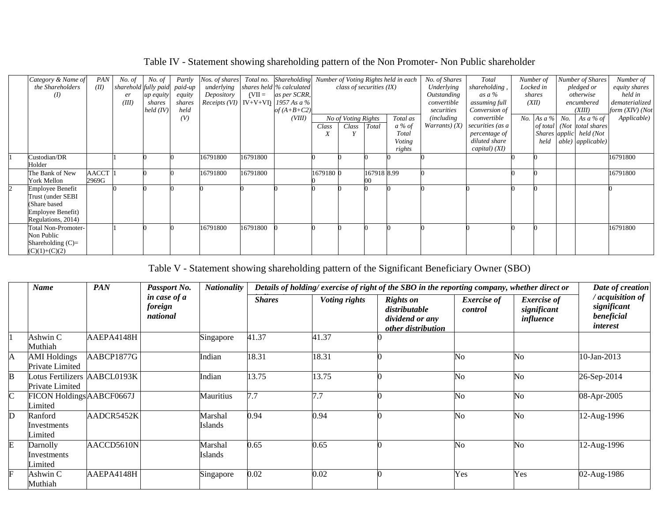## Table IV - Statement showing shareholding pattern of the Non Promoter- Non Public shareholder

| Category & Name of      | PAN                | No. of | No. of                       | Partly | Nos. of shares                         |          | Total no. Shareholding   |           |                            |             | Number of Voting Rights held in each | No. of Shares           | Total            |       | Number of | Number of Shares           | Number of            |
|-------------------------|--------------------|--------|------------------------------|--------|----------------------------------------|----------|--------------------------|-----------|----------------------------|-------------|--------------------------------------|-------------------------|------------------|-------|-----------|----------------------------|----------------------|
| the Shareholders        | (II)               |        | sharehold fully paid paid-up |        | underlying                             |          | shares held % calculated |           | class of securities $(IX)$ |             |                                      | Underlying              | shareholding,    |       | Locked in | pledged or                 | <i>equity shares</i> |
| (I)                     |                    | er     | <i>up equity</i>             | equity | Depository                             | $(VII =$ | as per SCRR,             |           |                            |             |                                      | Outstanding             | as a $\%$        |       | shares    | otherwise                  | held in              |
|                         |                    | (III)  | shares                       | shares | Receipts (VI)   IV+V+VI)   1957 As a % |          |                          |           |                            |             |                                      | convertible             | assuming full    | (XII) |           | encumbered                 | dematerialized       |
|                         |                    |        | held (IV)                    | held   |                                        |          | of $(A+B+C2)$            |           |                            |             |                                      | securities              | Conversion of    |       |           | (XIII)                     | form (XIV) (Not      |
|                         |                    |        |                              | (V)    |                                        |          | (VIII)                   |           | No of Voting Rights        |             | Total as                             | <i>(including)</i>      | convertible      |       |           | No. As a % No. As a % of   | Applicable)          |
|                         |                    |        |                              |        |                                        |          |                          | Class     | Class                      | Total       | $a\%$ of                             | <i>Warrants</i> ) $(X)$ | securities (as a |       |           | of total (Not total shares |                      |
|                         |                    |        |                              |        |                                        |          |                          | A         |                            |             | Total                                |                         | percentage of    |       |           | Shares applic held (Not    |                      |
|                         |                    |        |                              |        |                                        |          |                          |           |                            |             | Voting                               |                         | diluted share    |       | held      | able) applicable)          |                      |
|                         |                    |        |                              |        |                                        |          |                          |           |                            |             | rights                               |                         | capital) (XI)    |       |           |                            |                      |
| Custodian/DR            |                    |        |                              |        | 16791800                               | 16791800 |                          |           |                            |             |                                      |                         |                  |       |           |                            | 16791800             |
| Holder                  |                    |        |                              |        |                                        |          |                          |           |                            |             |                                      |                         |                  |       |           |                            |                      |
| The Bank of New         | AACCT <sup>1</sup> |        |                              |        | 16791800                               | 16791800 |                          | 1679180 0 |                            | 167918 8.99 |                                      |                         |                  |       |           |                            | 16791800             |
| <b>York Mellon</b>      | 2969G              |        |                              |        |                                        |          |                          |           |                            |             |                                      |                         |                  |       |           |                            |                      |
| <b>Employee Benefit</b> |                    |        |                              |        |                                        |          |                          |           |                            |             |                                      |                         |                  |       |           |                            |                      |
| Trust (under SEBI       |                    |        |                              |        |                                        |          |                          |           |                            |             |                                      |                         |                  |       |           |                            |                      |
| (Share based            |                    |        |                              |        |                                        |          |                          |           |                            |             |                                      |                         |                  |       |           |                            |                      |
| Employee Benefit)       |                    |        |                              |        |                                        |          |                          |           |                            |             |                                      |                         |                  |       |           |                            |                      |
| Regulations, 2014)      |                    |        |                              |        |                                        |          |                          |           |                            |             |                                      |                         |                  |       |           |                            |                      |
| Total Non-Promoter-     |                    |        |                              |        | 16791800                               | 16791800 |                          |           |                            |             |                                      |                         |                  |       |           |                            | 16791800             |
| Non Public              |                    |        |                              |        |                                        |          |                          |           |                            |             |                                      |                         |                  |       |           |                            |                      |
| Shareholding $(C)=$     |                    |        |                              |        |                                        |          |                          |           |                            |             |                                      |                         |                  |       |           |                            |                      |
| $(C)(1)+(C)(2)$         |                    |        |                              |        |                                        |          |                          |           |                            |             |                                      |                         |                  |       |           |                            |                      |

## Table V - Statement showing shareholding pattern of the Significant Beneficiary Owner (SBO)

|                | <b>Name</b>                                     | <b>PAN</b><br><b>Nationality</b><br>Details of holding/exercise of right of the SBO in the reporting company, whether direct or<br>Passport No. |                                     |                           |               |                      |                                                                            |                               |                                                |                                                                |  |
|----------------|-------------------------------------------------|-------------------------------------------------------------------------------------------------------------------------------------------------|-------------------------------------|---------------------------|---------------|----------------------|----------------------------------------------------------------------------|-------------------------------|------------------------------------------------|----------------------------------------------------------------|--|
|                |                                                 |                                                                                                                                                 | in case of a<br>foreign<br>national |                           | <b>Shares</b> | <b>Voting rights</b> | <b>Rights on</b><br>distributable<br>dividend or any<br>other distribution | <b>Exercise</b> of<br>control | <b>Exercise</b> of<br>significant<br>influence | acquisition of<br>significant<br>beneficial<br><i>interest</i> |  |
|                | Ashwin C<br>Muthiah                             | AAEPA4148H                                                                                                                                      |                                     | Singapore                 | 41.37         | 41.37                |                                                                            |                               |                                                |                                                                |  |
| A              | <b>AMI</b> Holdings<br>Private Limited          | AABCP1877G                                                                                                                                      |                                     | Indian                    | 18.31         | 18.31                |                                                                            | N <sub>0</sub>                | N <sub>o</sub>                                 | 10-Jan-2013                                                    |  |
| B              | Lotus Fertilizers AABCL0193K<br>Private Limited |                                                                                                                                                 |                                     | Indian                    | 13.75         | 13.75                |                                                                            | N <sub>0</sub>                | No                                             | 26-Sep-2014                                                    |  |
| $\overline{C}$ | FICON Holdings AABCF0667J<br>imited             |                                                                                                                                                 |                                     | Mauritius                 | 7.7           | 7.7                  |                                                                            | No                            | No                                             | 08-Apr-2005                                                    |  |
| $\mathbf{D}$   | Ranford<br>Investments<br>Limited               | AADCR5452K                                                                                                                                      |                                     | Marshal<br>Islands        | 0.94          | 0.94                 |                                                                            | N <sub>o</sub>                | N <sub>o</sub>                                 | 12-Aug-1996                                                    |  |
| $\overline{E}$ | Darnolly<br>Investments<br>Limited              | AACCD5610N                                                                                                                                      |                                     | Marshal<br><b>Islands</b> | 0.65          | 0.65                 |                                                                            | No                            | No                                             | 12-Aug-1996                                                    |  |
| E              | Ashwin C<br>Muthiah                             | AAEPA4148H                                                                                                                                      |                                     | Singapore                 | 0.02          | 0.02                 |                                                                            | Yes                           | Yes                                            | 02-Aug-1986                                                    |  |